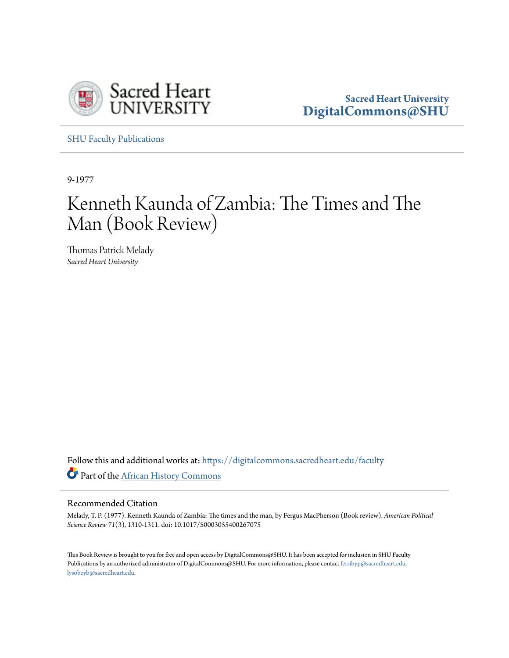

**Sacred Heart University [DigitalCommons@SHU](https://digitalcommons.sacredheart.edu?utm_source=digitalcommons.sacredheart.edu%2Ffaculty%2F23&utm_medium=PDF&utm_campaign=PDFCoverPages)**

[SHU Faculty Publications](https://digitalcommons.sacredheart.edu/faculty?utm_source=digitalcommons.sacredheart.edu%2Ffaculty%2F23&utm_medium=PDF&utm_campaign=PDFCoverPages)

9-1977

## Kenneth Kaunda of Zambia: The Times and The Man (Book Review)

Thomas Patrick Melady *Sacred Heart University*

Follow this and additional works at: [https://digitalcommons.sacredheart.edu/faculty](https://digitalcommons.sacredheart.edu/faculty?utm_source=digitalcommons.sacredheart.edu%2Ffaculty%2F23&utm_medium=PDF&utm_campaign=PDFCoverPages) Part of the [African History Commons](http://network.bepress.com/hgg/discipline/490?utm_source=digitalcommons.sacredheart.edu%2Ffaculty%2F23&utm_medium=PDF&utm_campaign=PDFCoverPages)

## Recommended Citation

Melady, T. P. (1977). Kenneth Kaunda of Zambia: The times and the man, by Fergus MacPherson (Book review). *American Political Science Review 71*(3)*,* 1310-1311. doi: 10.1017/S0003055400267075

This Book Review is brought to you for free and open access by DigitalCommons@SHU. It has been accepted for inclusion in SHU Faculty Publications by an authorized administrator of DigitalCommons@SHU. For more information, please contact [ferribyp@sacredheart.edu,](mailto:ferribyp@sacredheart.edu,%20lysobeyb@sacredheart.edu) [lysobeyb@sacredheart.edu.](mailto:ferribyp@sacredheart.edu,%20lysobeyb@sacredheart.edu)